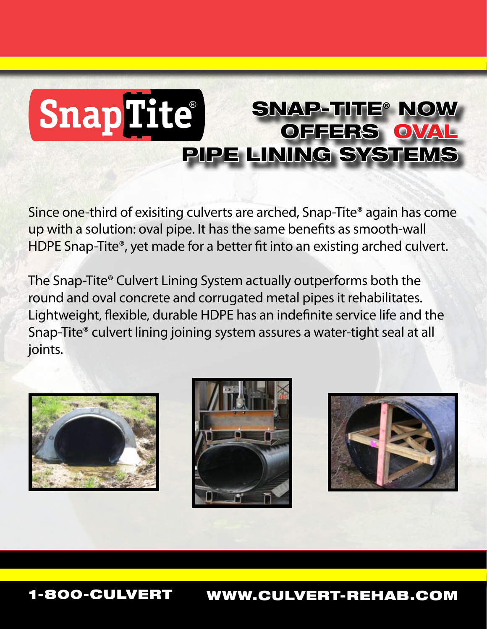## **SnapTite®** Snap-Tite**®** now offers oval pipe lining systems

Since one-third of exisiting culverts are arched, Snap-Tite® again has come up with a solution: oval pipe. It has the same benefits as smooth-wall HDPE Snap-Tite<sup>®</sup>, yet made for a better fit into an existing arched culvert.

The Snap-Tite® Culvert Lining System actually outperforms both the round and oval concrete and corrugated metal pipes it rehabilitates. Lightweight, flexible, durable HDPE has an indefinite service life and the Snap-Tite® culvert lining joining system assures a water-tight seal at all joints.







1-800-CULVERT www.culvert-rehab.com